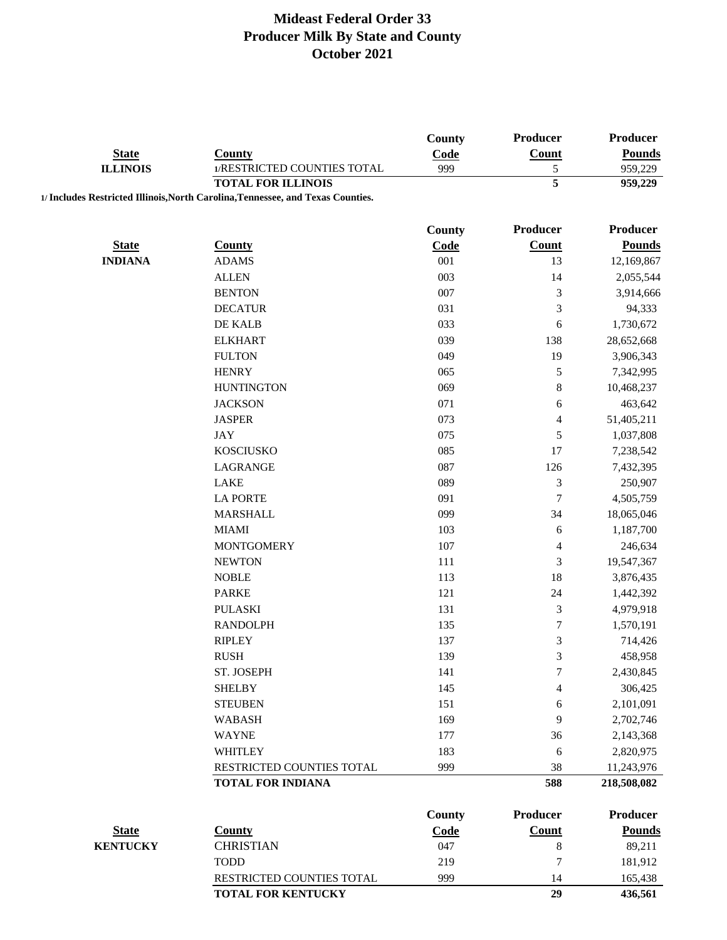|                                 |                                                                                 | County        | <b>Producer</b>          | <b>Producer</b> |
|---------------------------------|---------------------------------------------------------------------------------|---------------|--------------------------|-----------------|
| <b>State</b><br><b>ILLINOIS</b> | <b>County</b>                                                                   | Code          | <b>Count</b>             | <b>Pounds</b>   |
|                                 | 1/RESTRICTED COUNTIES TOTAL                                                     | 999           | 5                        | 959,229         |
|                                 | <b>TOTAL FOR ILLINOIS</b>                                                       |               | 5                        | 959,229         |
|                                 | 1/ Includes Restricted Illinois, North Carolina, Tennessee, and Texas Counties. |               |                          |                 |
|                                 |                                                                                 | County        | <b>Producer</b>          | <b>Producer</b> |
| <b>State</b>                    | <b>County</b>                                                                   | Code          | <b>Count</b>             | <b>Pounds</b>   |
| <b>INDIANA</b>                  | <b>ADAMS</b>                                                                    | 001           | 13                       | 12,169,867      |
|                                 | <b>ALLEN</b>                                                                    | 003           | 14                       | 2,055,544       |
|                                 | <b>BENTON</b>                                                                   | 007           | 3                        | 3,914,666       |
|                                 | <b>DECATUR</b>                                                                  | 031           | $\mathfrak{Z}$           | 94,333          |
|                                 | DE KALB                                                                         | 033           | 6                        | 1,730,672       |
|                                 | <b>ELKHART</b>                                                                  | 039           | 138                      | 28,652,668      |
|                                 | <b>FULTON</b>                                                                   | 049           | 19                       | 3,906,343       |
|                                 | <b>HENRY</b>                                                                    | 065           | $\mathfrak s$            | 7,342,995       |
|                                 | <b>HUNTINGTON</b>                                                               | 069           | $\,$ $\,$                | 10,468,237      |
|                                 | <b>JACKSON</b>                                                                  | 071           | 6                        | 463,642         |
|                                 | <b>JASPER</b>                                                                   | 073           | $\overline{\mathcal{A}}$ | 51,405,211      |
|                                 | <b>JAY</b>                                                                      | 075           | 5                        | 1,037,808       |
|                                 | <b>KOSCIUSKO</b>                                                                | 085           | 17                       | 7,238,542       |
|                                 | LAGRANGE                                                                        | 087           | 126                      | 7,432,395       |
|                                 | <b>LAKE</b>                                                                     | 089           | $\mathfrak{Z}$           | 250,907         |
|                                 | <b>LA PORTE</b>                                                                 | 091           | $\overline{7}$           | 4,505,759       |
|                                 | <b>MARSHALL</b>                                                                 | 099           | 34                       | 18,065,046      |
|                                 | <b>MIAMI</b>                                                                    | 103           | 6                        | 1,187,700       |
|                                 | <b>MONTGOMERY</b>                                                               | 107           | $\overline{\mathcal{A}}$ | 246,634         |
|                                 | <b>NEWTON</b>                                                                   | 111           | 3                        | 19,547,367      |
|                                 | <b>NOBLE</b>                                                                    | 113           | 18                       | 3,876,435       |
|                                 | <b>PARKE</b>                                                                    | 121           | 24                       | 1,442,392       |
|                                 | <b>PULASKI</b>                                                                  | 131           | $\mathfrak{Z}$           | 4,979,918       |
|                                 | <b>RANDOLPH</b>                                                                 | 135           | $\boldsymbol{7}$         | 1,570,191       |
|                                 | <b>RIPLEY</b>                                                                   | 137           | 3                        | 714,426         |
|                                 | <b>RUSH</b>                                                                     | 139           | 3                        | 458,958         |
|                                 | ST. JOSEPH                                                                      | 141           | 7                        | 2,430,845       |
|                                 | <b>SHELBY</b>                                                                   | 145           | 4                        | 306,425         |
|                                 | <b>STEUBEN</b>                                                                  | 151           | 6                        | 2,101,091       |
|                                 | <b>WABASH</b>                                                                   | 169           | 9                        | 2,702,746       |
|                                 | <b>WAYNE</b>                                                                    | 177           | 36                       | 2,143,368       |
|                                 | <b>WHITLEY</b>                                                                  | 183           | 6                        | 2,820,975       |
|                                 | RESTRICTED COUNTIES TOTAL                                                       | 999           | 38                       | 11,243,976      |
|                                 | <b>TOTAL FOR INDIANA</b>                                                        |               | 588                      | 218,508,082     |
|                                 |                                                                                 |               |                          |                 |
|                                 |                                                                                 | <b>County</b> | <b>Producer</b>          | <b>Producer</b> |
| <b>State</b>                    | <b>County</b>                                                                   | Code          | <b>Count</b>             | <b>Pounds</b>   |
| <b>KENTUCKY</b>                 | <b>CHRISTIAN</b>                                                                | 047           | $\,$ 8 $\,$              | 89,211          |
|                                 | <b>TODD</b>                                                                     | 219           | $\boldsymbol{7}$         | 181,912         |
|                                 | RESTRICTED COUNTIES TOTAL                                                       | 999           | 14                       | 165,438         |
|                                 | <b>TOTAL FOR KENTUCKY</b>                                                       |               | 29                       | 436,561         |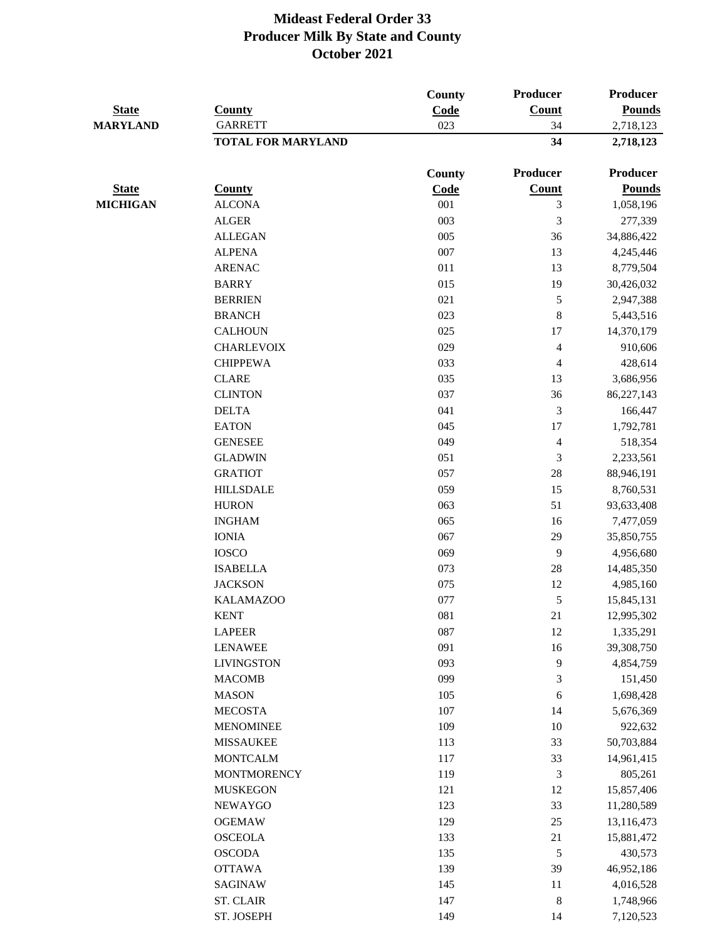|                                 |                                             | <b>County</b> | Producer       | Producer               |
|---------------------------------|---------------------------------------------|---------------|----------------|------------------------|
| <b>State</b><br><b>MARYLAND</b> | <b>County</b>                               | Code          | Count          | <b>Pounds</b>          |
|                                 | <b>GARRETT</b><br><b>TOTAL FOR MARYLAND</b> | 023           | 34<br>34       | 2,718,123<br>2,718,123 |
|                                 |                                             |               |                |                        |
|                                 |                                             | County        | Producer       | <b>Producer</b>        |
| <b>State</b>                    | <b>County</b>                               | Code          | Count          | <b>Pounds</b>          |
| <b>MICHIGAN</b>                 | <b>ALCONA</b>                               | 001           | 3              | 1,058,196              |
|                                 | <b>ALGER</b>                                | 003           | 3              | 277,339                |
|                                 | <b>ALLEGAN</b>                              | 005           | 36             | 34,886,422             |
|                                 | <b>ALPENA</b>                               | 007           | 13             | 4,245,446              |
|                                 | <b>ARENAC</b>                               | 011           | 13             | 8,779,504              |
|                                 | <b>BARRY</b>                                | 015           | 19             | 30,426,032             |
|                                 | <b>BERRIEN</b>                              | 021           | 5              | 2,947,388              |
|                                 | <b>BRANCH</b>                               | 023           | $\,8\,$        | 5,443,516              |
|                                 | <b>CALHOUN</b>                              | 025           | 17             | 14,370,179             |
|                                 | <b>CHARLEVOIX</b>                           | 029           | 4              | 910,606                |
|                                 | <b>CHIPPEWA</b>                             | 033           | $\overline{4}$ | 428,614                |
|                                 | <b>CLARE</b>                                | 035           | 13             | 3,686,956              |
|                                 | <b>CLINTON</b>                              | 037           | 36             | 86,227,143             |
|                                 | <b>DELTA</b>                                | 041           | $\mathfrak{Z}$ | 166,447                |
|                                 | <b>EATON</b>                                | 045           | 17             | 1,792,781              |
|                                 | <b>GENESEE</b>                              | 049           | $\overline{4}$ | 518,354                |
|                                 | <b>GLADWIN</b>                              | 051           | $\mathfrak{Z}$ | 2,233,561              |
|                                 | <b>GRATIOT</b>                              | 057           | 28             | 88,946,191             |
|                                 | <b>HILLSDALE</b>                            | 059           | 15             | 8,760,531              |
|                                 | <b>HURON</b>                                | 063           | 51             | 93,633,408             |
|                                 | <b>INGHAM</b>                               | 065           | 16             | 7,477,059              |
|                                 | <b>IONIA</b>                                | 067           | 29             | 35,850,755             |
|                                 | <b>IOSCO</b>                                | 069           | 9              | 4,956,680              |
|                                 | <b>ISABELLA</b>                             | 073           | $28\,$         | 14,485,350             |
|                                 | <b>JACKSON</b>                              | 075           | 12             | 4,985,160              |
|                                 | <b>KALAMAZOO</b>                            | 077           | 5              | 15,845,131             |
|                                 | <b>KENT</b>                                 | 081           | 21             | 12,995,302             |
|                                 | <b>LAPEER</b>                               | 087           | 12             | 1,335,291              |
|                                 | <b>LENAWEE</b>                              | 091           | 16             | 39,308,750             |
|                                 | <b>LIVINGSTON</b>                           | 093           | 9              | 4,854,759              |
|                                 | <b>MACOMB</b>                               | 099           | 3              | 151,450                |
|                                 | <b>MASON</b>                                | 105           | 6              | 1,698,428              |
|                                 | <b>MECOSTA</b>                              | 107           | 14             | 5,676,369              |
|                                 | <b>MENOMINEE</b>                            | 109           | 10             | 922,632                |
|                                 | <b>MISSAUKEE</b>                            | 113           | 33             | 50,703,884             |
|                                 | <b>MONTCALM</b>                             | 117           | 33             | 14,961,415             |
|                                 | <b>MONTMORENCY</b>                          | 119           | 3              | 805,261                |
|                                 | <b>MUSKEGON</b>                             | 121           | 12             | 15,857,406             |
|                                 | <b>NEWAYGO</b>                              | 123           | 33             | 11,280,589             |
|                                 | <b>OGEMAW</b>                               | 129           | $25\,$         | 13,116,473             |
|                                 | <b>OSCEOLA</b>                              | 133           | 21             | 15,881,472             |
|                                 | <b>OSCODA</b>                               | 135           | $\sqrt{5}$     | 430,573                |
|                                 | <b>OTTAWA</b>                               | 139           | 39             | 46,952,186             |
|                                 | SAGINAW                                     | 145           | 11             | 4,016,528              |
|                                 | <b>ST. CLAIR</b>                            | 147           | $\,8\,$        | 1,748,966              |
|                                 | ST. JOSEPH                                  | 149           | 14             | 7,120,523              |
|                                 |                                             |               |                |                        |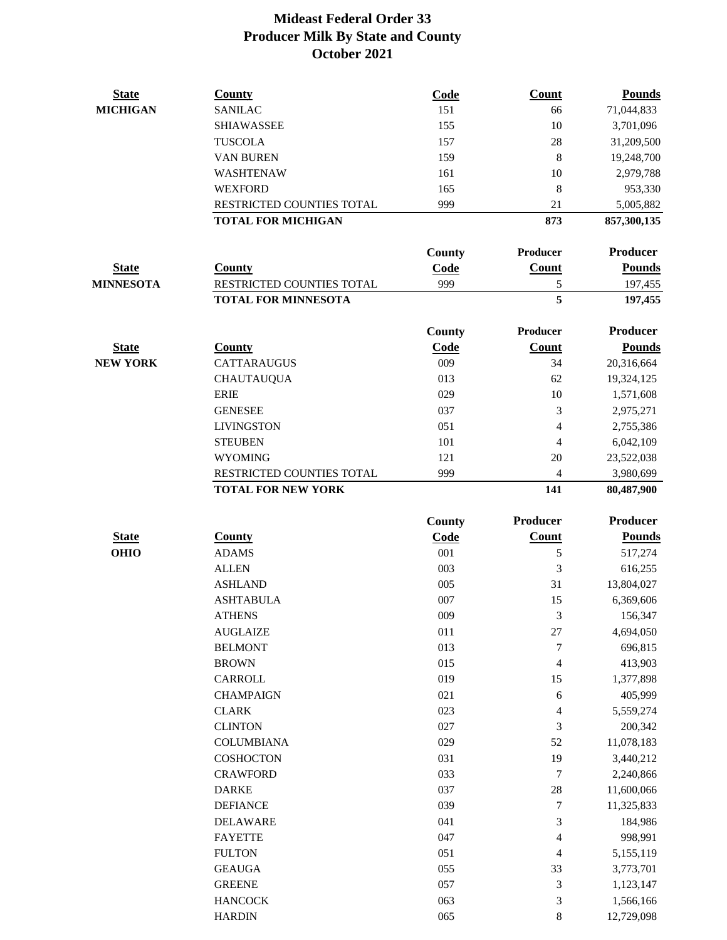| <b>State</b>                | <b>County</b>                   | Code          | <b>Count</b>             | <b>Pounds</b>            |
|-----------------------------|---------------------------------|---------------|--------------------------|--------------------------|
| <b>MICHIGAN</b>             | <b>SANILAC</b>                  | 151           | 66                       | 71,044,833               |
|                             | <b>SHIAWASSEE</b>               | 155           | 10                       | 3,701,096                |
|                             | <b>TUSCOLA</b>                  | 157           | 28                       | 31,209,500               |
|                             | <b>VAN BUREN</b>                | 159           | $\,8\,$                  | 19,248,700               |
|                             | WASHTENAW                       | 161           | 10                       | 2,979,788                |
|                             | <b>WEXFORD</b>                  | 165           | 8                        | 953,330                  |
|                             | RESTRICTED COUNTIES TOTAL       | 999           | 21                       | 5,005,882                |
|                             | <b>TOTAL FOR MICHIGAN</b>       |               | 873                      | 857,300,135              |
|                             |                                 | <b>County</b> | Producer                 | Producer                 |
| <b>State</b>                | <b>County</b>                   | Code          | <b>Count</b>             | <b>Pounds</b>            |
| <b>MINNESOTA</b>            | RESTRICTED COUNTIES TOTAL       | 999           | $\sqrt{5}$               | 197,455                  |
|                             | <b>TOTAL FOR MINNESOTA</b>      |               | 5                        | 197,455                  |
|                             |                                 | County        | Producer                 | Producer                 |
| <b>State</b>                | <b>County</b>                   | Code          | <b>Count</b>             | <b>Pounds</b>            |
| <b>NEW YORK</b>             | <b>CATTARAUGUS</b>              | 009           | 34                       | 20,316,664               |
|                             | <b>CHAUTAUQUA</b>               | 013           | 62                       | 19,324,125               |
|                             | <b>ERIE</b>                     | 029           | 10                       | 1,571,608                |
|                             | <b>GENESEE</b>                  | 037           | 3                        | 2,975,271                |
|                             | <b>LIVINGSTON</b>               | 051           | 4                        | 2,755,386                |
|                             | <b>STEUBEN</b>                  | 101           | $\overline{4}$           | 6,042,109                |
|                             | <b>WYOMING</b>                  | 121           | 20                       | 23,522,038               |
|                             | RESTRICTED COUNTIES TOTAL       | 999           | 4                        | 3,980,699                |
|                             | <b>TOTAL FOR NEW YORK</b>       |               | 141                      | 80,487,900               |
|                             |                                 |               |                          |                          |
|                             |                                 |               | Producer                 | Producer                 |
|                             |                                 | <b>County</b> |                          |                          |
| <b>State</b><br><b>OHIO</b> | <b>County</b><br><b>ADAMS</b>   | Code<br>001   | Count<br>5               | <b>Pounds</b>            |
|                             | <b>ALLEN</b>                    | 003           | 3                        | 517,274                  |
|                             | <b>ASHLAND</b>                  | 005           | 31                       | 616,255<br>13,804,027    |
|                             | <b>ASHTABULA</b>                | 007           | 15                       | 6,369,606                |
|                             | <b>ATHENS</b>                   | 009           |                          |                          |
|                             | <b>AUGLAIZE</b>                 | 011           | 3<br>$27\,$              | 156,347<br>4,694,050     |
|                             | <b>BELMONT</b>                  | 013           | $\boldsymbol{7}$         |                          |
|                             | <b>BROWN</b>                    | 015           | $\overline{\mathbf{4}}$  | 696,815<br>413,903       |
|                             | CARROLL                         | 019           | 15                       |                          |
|                             | <b>CHAMPAIGN</b>                | 021           | $\sqrt{6}$               | 1,377,898                |
|                             |                                 |               |                          | 405,999                  |
|                             | <b>CLARK</b><br><b>CLINTON</b>  | 023<br>027    | $\overline{4}$<br>3      | 5,559,274<br>200,342     |
|                             | <b>COLUMBIANA</b>               | 029           | 52                       | 11,078,183               |
|                             | <b>COSHOCTON</b>                | 031           | 19                       | 3,440,212                |
|                             | <b>CRAWFORD</b>                 | 033           | 7                        |                          |
|                             | <b>DARKE</b>                    | 037           |                          | 2,240,866                |
|                             | <b>DEFIANCE</b>                 | 039           | $28\,$<br>7              | 11,600,066<br>11,325,833 |
|                             | <b>DELAWARE</b>                 | 041           | 3                        | 184,986                  |
|                             | <b>FAYETTE</b>                  | 047           | $\overline{\mathcal{L}}$ | 998,991                  |
|                             | <b>FULTON</b>                   | 051           | $\overline{4}$           |                          |
|                             |                                 |               |                          | 5,155,119                |
|                             | <b>GEAUGA</b>                   | 055           | 33                       | 3,773,701                |
|                             | <b>GREENE</b><br><b>HANCOCK</b> | 057<br>063    | 3<br>3                   | 1,123,147<br>1,566,166   |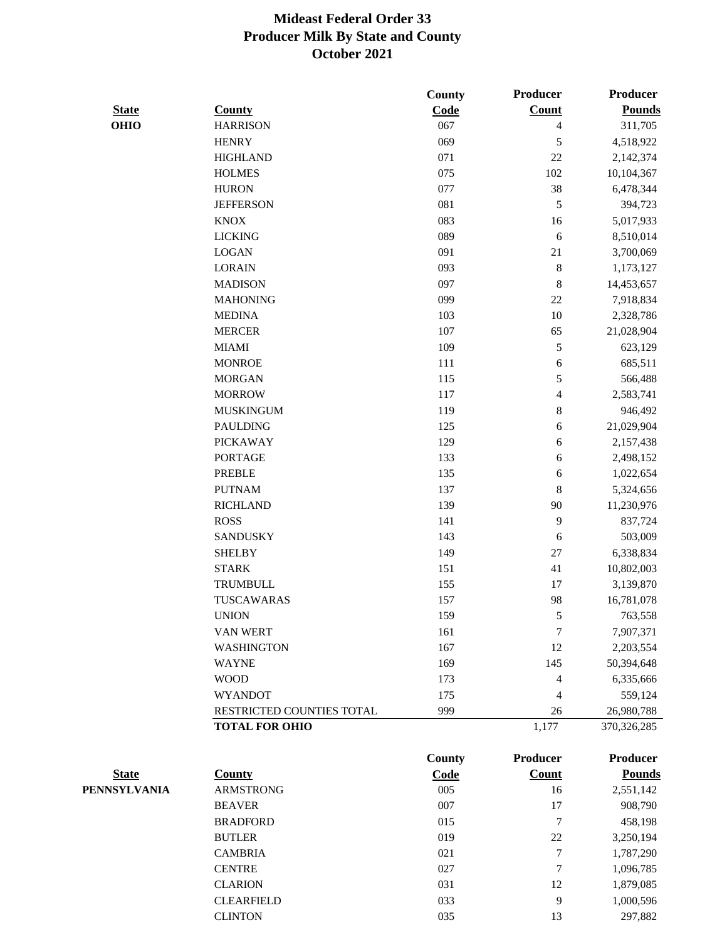|                     |                           | County | Producer                 | Producer        |
|---------------------|---------------------------|--------|--------------------------|-----------------|
| <b>State</b>        | <b>County</b>             | Code   | Count                    | <b>Pounds</b>   |
| <b>OHIO</b>         | <b>HARRISON</b>           | 067    | $\overline{4}$           | 311,705         |
|                     | <b>HENRY</b>              | 069    | 5                        | 4,518,922       |
|                     | <b>HIGHLAND</b>           | 071    | 22                       | 2,142,374       |
|                     | <b>HOLMES</b>             | 075    | 102                      | 10,104,367      |
|                     | <b>HURON</b>              | 077    | 38                       | 6,478,344       |
|                     | <b>JEFFERSON</b>          | 081    | 5                        | 394,723         |
|                     | <b>KNOX</b>               | 083    | 16                       | 5,017,933       |
|                     | <b>LICKING</b>            | 089    | 6                        | 8,510,014       |
|                     | <b>LOGAN</b>              | 091    | 21                       | 3,700,069       |
|                     | <b>LORAIN</b>             | 093    | $\,$ 8 $\,$              | 1,173,127       |
|                     | <b>MADISON</b>            | 097    | 8                        | 14,453,657      |
|                     | <b>MAHONING</b>           | 099    | 22                       | 7,918,834       |
|                     | <b>MEDINA</b>             | 103    | 10                       | 2,328,786       |
|                     | <b>MERCER</b>             | 107    | 65                       | 21,028,904      |
|                     | <b>MIAMI</b>              | 109    | 5                        | 623,129         |
|                     | <b>MONROE</b>             | 111    | 6                        | 685,511         |
|                     | <b>MORGAN</b>             | 115    | 5                        | 566,488         |
|                     | <b>MORROW</b>             | 117    | $\overline{\mathcal{L}}$ | 2,583,741       |
|                     | <b>MUSKINGUM</b>          | 119    | 8                        | 946,492         |
|                     | <b>PAULDING</b>           | 125    | 6                        | 21,029,904      |
|                     | <b>PICKAWAY</b>           | 129    | 6                        | 2,157,438       |
|                     | <b>PORTAGE</b>            | 133    | 6                        | 2,498,152       |
|                     | <b>PREBLE</b>             | 135    | 6                        | 1,022,654       |
|                     | <b>PUTNAM</b>             | 137    | 8                        | 5,324,656       |
|                     | <b>RICHLAND</b>           | 139    | 90                       | 11,230,976      |
|                     | <b>ROSS</b>               | 141    | 9                        | 837,724         |
|                     | <b>SANDUSKY</b>           | 143    | 6                        | 503,009         |
|                     | <b>SHELBY</b>             | 149    | $27\,$                   | 6,338,834       |
|                     | <b>STARK</b>              | 151    | 41                       | 10,802,003      |
|                     | <b>TRUMBULL</b>           | 155    | 17                       | 3,139,870       |
|                     | <b>TUSCAWARAS</b>         | 157    | 98                       | 16,781,078      |
|                     | <b>UNION</b>              | 159    | $\sqrt{5}$               | 763,558         |
|                     | VAN WERT                  | 161    | 7                        | 7,907,371       |
|                     | <b>WASHINGTON</b>         | 167    | 12                       | 2,203,554       |
|                     | <b>WAYNE</b>              | 169    | 145                      | 50,394,648      |
|                     | <b>WOOD</b>               | 173    | 4                        | 6,335,666       |
|                     | <b>WYANDOT</b>            | 175    | 4                        | 559,124         |
|                     | RESTRICTED COUNTIES TOTAL | 999    | 26                       | 26,980,788      |
|                     | <b>TOTAL FOR OHIO</b>     |        | 1,177                    | 370, 326, 285   |
|                     |                           | County | <b>Producer</b>          | <b>Producer</b> |
| <b>State</b>        | <b>County</b>             | Code   | <b>Count</b>             | <b>Pounds</b>   |
| <b>PENNSYLVANIA</b> | <b>ARMSTRONG</b>          | 005    | 16                       | 2,551,142       |
|                     | <b>BEAVER</b>             | 007    | 17                       | 908,790         |
|                     | <b>BRADFORD</b>           | 015    | $\tau$                   | 458,198         |
|                     | <b>BUTLER</b>             | 019    | 22                       | 3,250,194       |
|                     | <b>CAMBRIA</b>            | 021    | $\boldsymbol{7}$         | 1,787,290       |
|                     | <b>CENTRE</b>             | 027    | 7                        | 1,096,785       |
|                     | <b>CLARION</b>            | 031    | 12                       | 1,879,085       |
|                     | <b>CLEARFIELD</b>         | 033    | $\mathbf{9}$             | 1,000,596       |

CLINTON 035 13 297,882